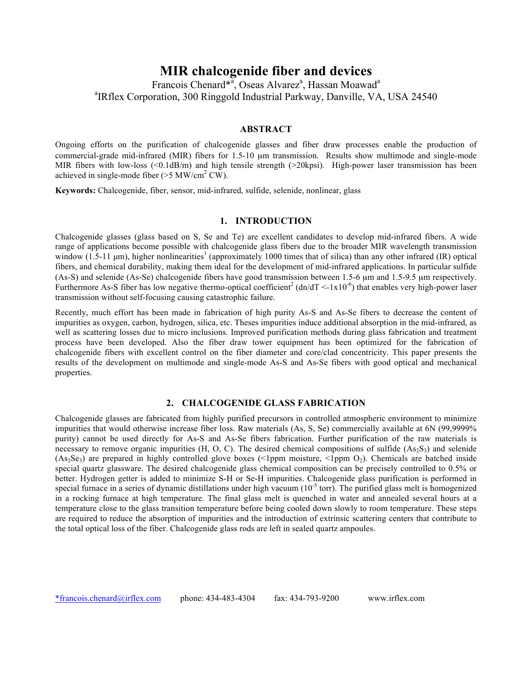# **MIR chalcogenide fiber and devices**

Francois Chenard\*<sup>a</sup>, Oseas Alvarez<sup>a</sup>, Hassan Moawad<sup>a</sup> a IRflex Corporation, 300 Ringgold Industrial Parkway, Danville, VA, USA 24540

## **ABSTRACT**

Ongoing efforts on the purification of chalcogenide glasses and fiber draw processes enable the production of commercial-grade mid-infrared (MIR) fibers for 1.5-10 µm transmission. Results show multimode and single-mode MIR fibers with low-loss (<0.1dB/m) and high tensile strength (>20kpsi). High-power laser transmission has been achieved in single-mode fiber ( $>5$  MW/cm<sup>2</sup> CW).

**Keywords:** Chalcogenide, fiber, sensor, mid-infrared, sulfide, selenide, nonlinear, glass

## **1. INTRODUCTION**

Chalcogenide glasses (glass based on S, Se and Te) are excellent candidates to develop mid-infrared fibers. A wide range of applications become possible with chalcogenide glass fibers due to the broader MIR wavelength transmission window (1.5-11  $\mu$ m), higher nonlinearities<sup>1</sup> (approximately 1000 times that of silica) than any other infrared (IR) optical fibers, and chemical durability, making them ideal for the development of mid-infrared applications. In particular sulfide (As-S) and selenide (As-Se) chalcogenide fibers have good transmission between 1.5-6 µm and 1.5-9.5 µm respectively. Furthermore As-S fiber has low negative thermo-optical coefficient<sup>2</sup> (dn/dT <-1x10<sup>-6</sup>) that enables very high-power laser transmission without self-focusing causing catastrophic failure.

Recently, much effort has been made in fabrication of high purity As-S and As-Se fibers to decrease the content of impurities as oxygen, carbon, hydrogen, silica, etc. Theses impurities induce additional absorption in the mid-infrared, as well as scattering losses due to micro inclusions. Improved purification methods during glass fabrication and treatment process have been developed. Also the fiber draw tower equipment has been optimized for the fabrication of chalcogenide fibers with excellent control on the fiber diameter and core/clad concentricity. This paper presents the results of the development on multimode and single-mode As-S and As-Se fibers with good optical and mechanical properties.

## **2. CHALCOGENIDE GLASS FABRICATION**

Chalcogenide glasses are fabricated from highly purified precursors in controlled atmospheric environment to minimize impurities that would otherwise increase fiber loss. Raw materials (As, S, Se) commercially available at 6N (99,9999% purity) cannot be used directly for As-S and As-Se fibers fabrication. Further purification of the raw materials is necessary to remove organic impurities  $(H, O, C)$ . The desired chemical compositions of sulfide  $(As_2S_3)$  and selenide  $(As_2Se_3)$  are prepared in highly controlled glove boxes (<1ppm moisture, <1ppm O<sub>2</sub>). Chemicals are batched inside special quartz glassware. The desired chalcogenide glass chemical composition can be precisely controlled to 0.5% or better. Hydrogen getter is added to minimize S-H or Se-H impurities. Chalcogenide glass purification is performed in special furnace in a series of dynamic distillations under high vacuum  $(10^{-5}$  torr). The purified glass melt is homogenized in a rocking furnace at high temperature. The final glass melt is quenched in water and annealed several hours at a temperature close to the glass transition temperature before being cooled down slowly to room temperature. These steps are required to reduce the absorption of impurities and the introduction of extrinsic scattering centers that contribute to the total optical loss of the fiber. Chalcogenide glass rods are left in sealed quartz ampoules.

\*francois.chenard@irflex.com phone: 434-483-4304 fax: 434-793-9200 www.irflex.com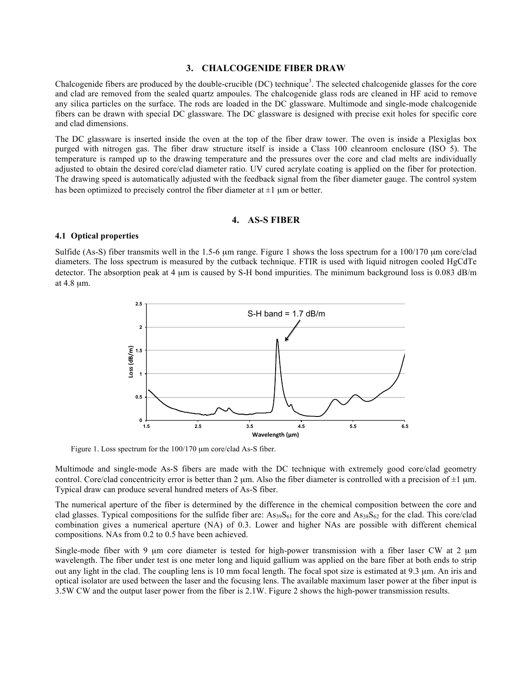## **3. CHALCOGENIDE FIBER DRAW**

Chalcogenide fibers are produced by the double-crucible (DC) technique<sup>3</sup>. The selected chalcogenide glasses for the core and clad are removed from the sealed quartz ampoules. The chalcogenide glass rods are cleaned in HF acid to remove any silica particles on the surface. The rods are loaded in the DC glassware. Multimode and single-mode chalcogenide fibers can be drawn with special DC glassware. The DC glassware is designed with precise exit holes for specific core and clad dimensions.

The DC glassware is inserted inside the oven at the top of the fiber draw tower. The oven is inside a Plexiglas box purged with nitrogen gas. The fiber draw structure itself is inside a Class 100 cleanroom enclosure (ISO 5). The temperature is ramped up to the drawing temperature and the pressures over the core and clad melts are individually adjusted to obtain the desired core/clad diameter ratio. UV cured acrylate coating is applied on the fiber for protection. The drawing speed is automatically adjusted with the feedback signal from the fiber diameter gauge. The control system has been optimized to precisely control the fiber diameter at  $\pm 1$  µm or better.

## **4. AS-S FIBER**

#### **4.1 Optical properties**

Sulfide (As-S) fiber transmits well in the 1.5-6 µm range. Figure 1 shows the loss spectrum for a 100/170 µm core/clad diameters. The loss spectrum is measured by the cutback technique. FTIR is used with liquid nitrogen cooled HgCdTe detector. The absorption peak at 4 µm is caused by S-H bond impurities. The minimum background loss is 0.083 dB/m at 4.8 µm.



Figure 1. Loss spectrum for the 100/170 µm core/clad As-S fiber.

Multimode and single-mode As-S fibers are made with the DC technique with extremely good core/clad geometry control. Core/clad concentricity error is better than 2  $\mu$ m. Also the fiber diameter is controlled with a precision of  $\pm 1 \mu$ m. Typical draw can produce several hundred meters of As-S fiber.

The numerical aperture of the fiber is determined by the difference in the chemical composition between the core and clad glasses. Typical compositions for the sulfide fiber are:  $As_{39}S_{61}$  for the core and  $As_{38}S_{62}$  for the clad. This core/clad combination gives a numerical aperture (NA) of 0.3. Lower and higher NAs are possible with different chemical compositions. NAs from 0.2 to 0.5 have been achieved.

Single-mode fiber with 9 um core diameter is tested for high-power transmission with a fiber laser CW at 2 um wavelength. The fiber under test is one meter long and liquid gallium was applied on the bare fiber at both ends to strip out any light in the clad. The coupling lens is 10 mm focal length. The focal spot size is estimated at 9.3 µm. An iris and optical isolator are used between the laser and the focusing lens. The available maximum laser power at the fiber input is 3.5W CW and the output laser power from the fiber is 2.1W. Figure 2 shows the high-power transmission results.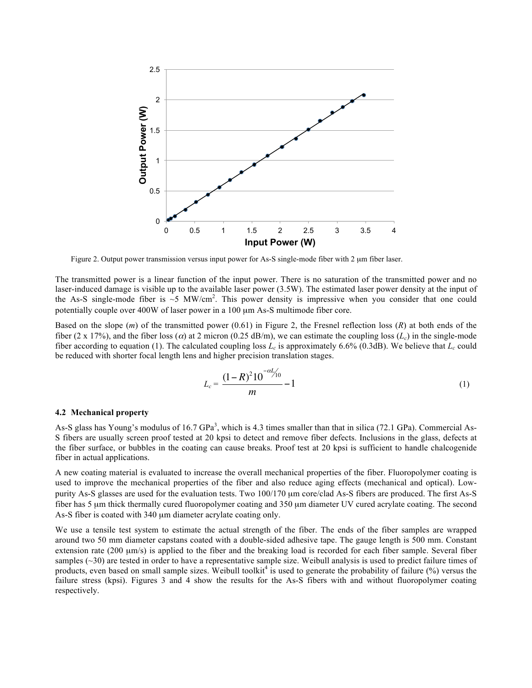

Figure 2. Output power transmission versus input power for As-S single-mode fiber with 2  $\mu$ m fiber laser.

The transmitted power is a linear function of the input power. There is no saturation of the transmitted power and no laser-induced damage is visible up to the available laser power (3.5W). The estimated laser power density at the input of the As-S single-mode fiber is  $\sim$ 5 MW/cm<sup>2</sup>. This power density is impressive when you consider that one could potentially couple over 400W of laser power in a 100  $\mu$ m As-S multimode fiber core.

Based on the slope (*m*) of the transmitted power (0.61) in Figure 2, the Fresnel reflection loss (*R*) at both ends of the fiber (2 x 17%), and the fiber loss ( $\alpha$ ) at 2 micron (0.25 dB/m), we can estimate the coupling loss ( $L_c$ ) in the single-mode fiber according to equation (1). The calculated coupling loss  $L_c$  is approximately 6.6% (0.3dB). We believe that  $L_c$  could be reduced with shorter focal length lens and higher precision translation stages.

$$
L_c = \frac{(1 - R)^2 10^{-\alpha L/10}}{m} - 1
$$
 (1)

#### **4.2 Mechanical property**

As-S glass has Young's modulus of  $16.7 \text{ GPa}^3$ , which is 4.3 times smaller than that in silica (72.1 GPa). Commercial As-S fibers are usually screen proof tested at 20 kpsi to detect and remove fiber defects. Inclusions in the glass, defects at the fiber surface, or bubbles in the coating can cause breaks. Proof test at 20 kpsi is sufficient to handle chalcogenide fiber in actual applications.

A new coating material is evaluated to increase the overall mechanical properties of the fiber. Fluoropolymer coating is used to improve the mechanical properties of the fiber and also reduce aging effects (mechanical and optical). Lowpurity As-S glasses are used for the evaluation tests. Two 100/170  $\mu$ m core/clad As-S fibers are produced. The first As-S fiber has 5 um thick thermally cured fluoropolymer coating and 350 um diameter UV cured acrylate coating. The second As-S fiber is coated with 340 µm diameter acrylate coating only.

We use a tensile test system to estimate the actual strength of the fiber. The ends of the fiber samples are wrapped around two 50 mm diameter capstans coated with a double-sided adhesive tape. The gauge length is 500 mm. Constant extension rate (200  $\mu$ m/s) is applied to the fiber and the breaking load is recorded for each fiber sample. Several fiber samples (~30) are tested in order to have a representative sample size. Weibull analysis is used to predict failure times of products, even based on small sample sizes. Weibull toolkit<sup>4</sup> is used to generate the probability of failure  $\frac{1}{2}$  versus the failure stress (kpsi). Figures 3 and 4 show the results for the As-S fibers with and without fluoropolymer coating respectively.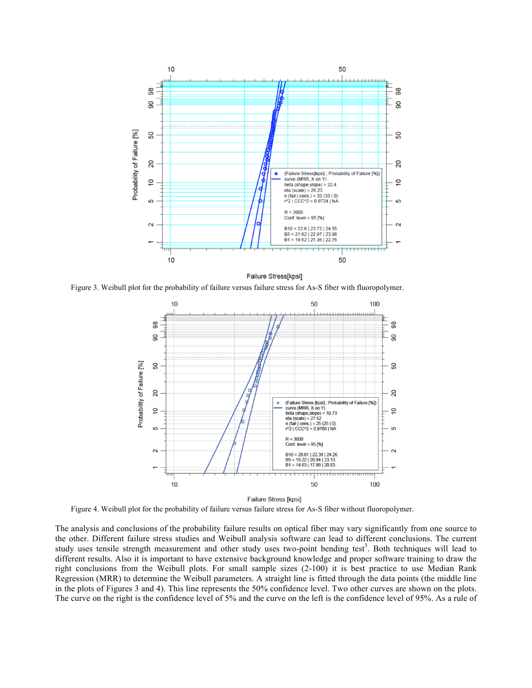

Failure Stress[kpsi]

Figure 3. Weibull plot for the probability of failure versus failure stress for As-S fiber with fluoropolymer.



Figure 4. Weibull plot for the probability of failure versus failure stress for As-S fiber without fluoropolymer.

The analysis and conclusions of the probability failure results on optical fiber may vary significantly from one source to the other. Different failure stress studies and Weibull analysis software can lead to different conclusions. The current study uses tensile strength measurement and other study uses two-point bending test<sup>3</sup>. Both techniques will lead to different results. Also it is important to have extensive background knowledge and proper software training to draw the right conclusions from the Weibull plots. For small sample sizes (2-100) it is best practice to use Median Rank Regression (MRR) to determine the Weibull parameters. A straight line is fitted through the data points (the middle line in the plots of Figures 3 and 4). This line represents the 50% confidence level. Two other curves are shown on the plots. The curve on the right is the confidence level of 5% and the curve on the left is the confidence level of 95%. As a rule of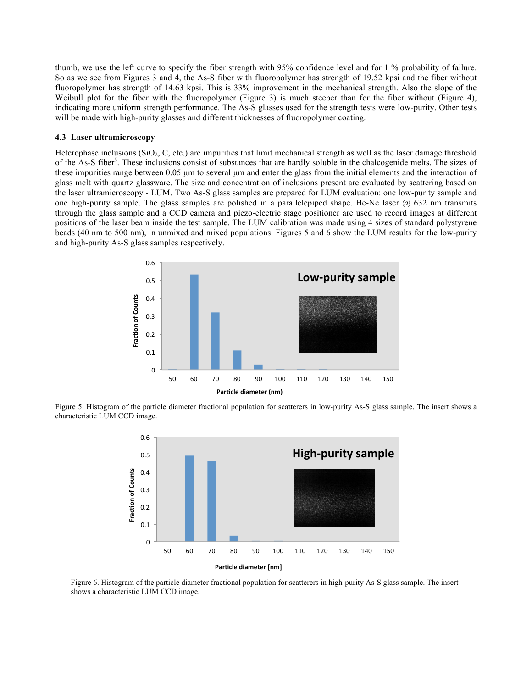thumb, we use the left curve to specify the fiber strength with 95% confidence level and for 1 % probability of failure. So as we see from Figures 3 and 4, the As-S fiber with fluoropolymer has strength of 19.52 kpsi and the fiber without fluoropolymer has strength of 14.63 kpsi. This is 33% improvement in the mechanical strength. Also the slope of the Weibull plot for the fiber with the fluoropolymer (Figure 3) is much steeper than for the fiber without (Figure 4), indicating more uniform strength performance. The As-S glasses used for the strength tests were low-purity. Other tests will be made with high-purity glasses and different thicknesses of fluoropolymer coating.

#### **4.3 Laser ultramicroscopy**

Heterophase inclusions  $(SiO<sub>2</sub>, C, etc.)$  are impurities that limit mechanical strength as well as the laser damage threshold of the As-S fiber<sup>5</sup>. These inclusions consist of substances that are hardly soluble in the chalcogenide melts. The sizes of these impurities range between 0.05 μm to several μm and enter the glass from the initial elements and the interaction of glass melt with quartz glassware. The size and concentration of inclusions present are evaluated by scattering based on the laser ultramicroscopy - LUM. Two As-S glass samples are prepared for LUM evaluation: one low-purity sample and one high-purity sample. The glass samples are polished in a parallelepiped shape. He-Ne laser  $\omega$  632 nm transmits through the glass sample and a CCD camera and piezo-electric stage positioner are used to record images at different positions of the laser beam inside the test sample. The LUM calibration was made using 4 sizes of standard polystyrene beads (40 nm to 500 nm), in unmixed and mixed populations. Figures 5 and 6 show the LUM results for the low-purity and high-purity As-S glass samples respectively.



Figure 5. Histogram of the particle diameter fractional population for scatterers in low-purity As-S glass sample. The insert shows a characteristic LUM CCD image.



Figure 6. Histogram of the particle diameter fractional population for scatterers in high-purity As-S glass sample. The insert shows a characteristic LUM CCD image.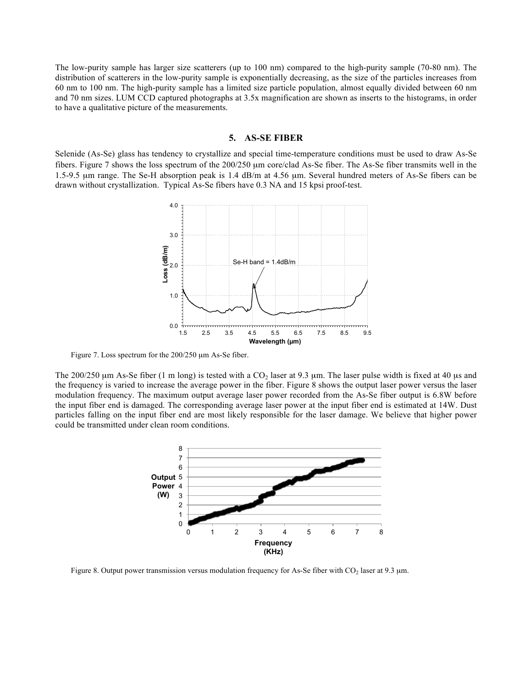The low-purity sample has larger size scatterers (up to 100 nm) compared to the high-purity sample (70-80 nm). The distribution of scatterers in the low-purity sample is exponentially decreasing, as the size of the particles increases from 60 nm to 100 nm. The high-purity sample has a limited size particle population, almost equally divided between 60 nm and 70 nm sizes. LUM CCD captured photographs at 3.5x magnification are shown as inserts to the histograms, in order to have a qualitative picture of the measurements.

## **5. AS-SE FIBER**

Selenide (As-Se) glass has tendency to crystallize and special time-temperature conditions must be used to draw As-Se fibers. Figure 7 shows the loss spectrum of the 200/250 µm core/clad As-Se fiber. The As-Se fiber transmits well in the 1.5-9.5 µm range. The Se-H absorption peak is 1.4 dB/m at 4.56 µm. Several hundred meters of As-Se fibers can be drawn without crystallization. Typical As-Se fibers have 0.3 NA and 15 kpsi proof-test.



Figure 7. Loss spectrum for the 200/250  $\mu$ m As-Se fiber.

The 200/250  $\mu$ m As-Se fiber (1 m long) is tested with a CO<sub>2</sub> laser at 9.3  $\mu$ m. The laser pulse width is fixed at 40  $\mu$ s and the frequency is varied to increase the average power in the fiber. Figure 8 shows the output laser power versus the laser modulation frequency. The maximum output average laser power recorded from the As-Se fiber output is 6.8W before the input fiber end is damaged. The corresponding average laser power at the input fiber end is estimated at 14W. Dust particles falling on the input fiber end are most likely responsible for the laser damage. We believe that higher power could be transmitted under clean room conditions.



Figure 8. Output power transmission versus modulation frequency for As-Se fiber with  $CO<sub>2</sub>$  laser at 9.3 µm.